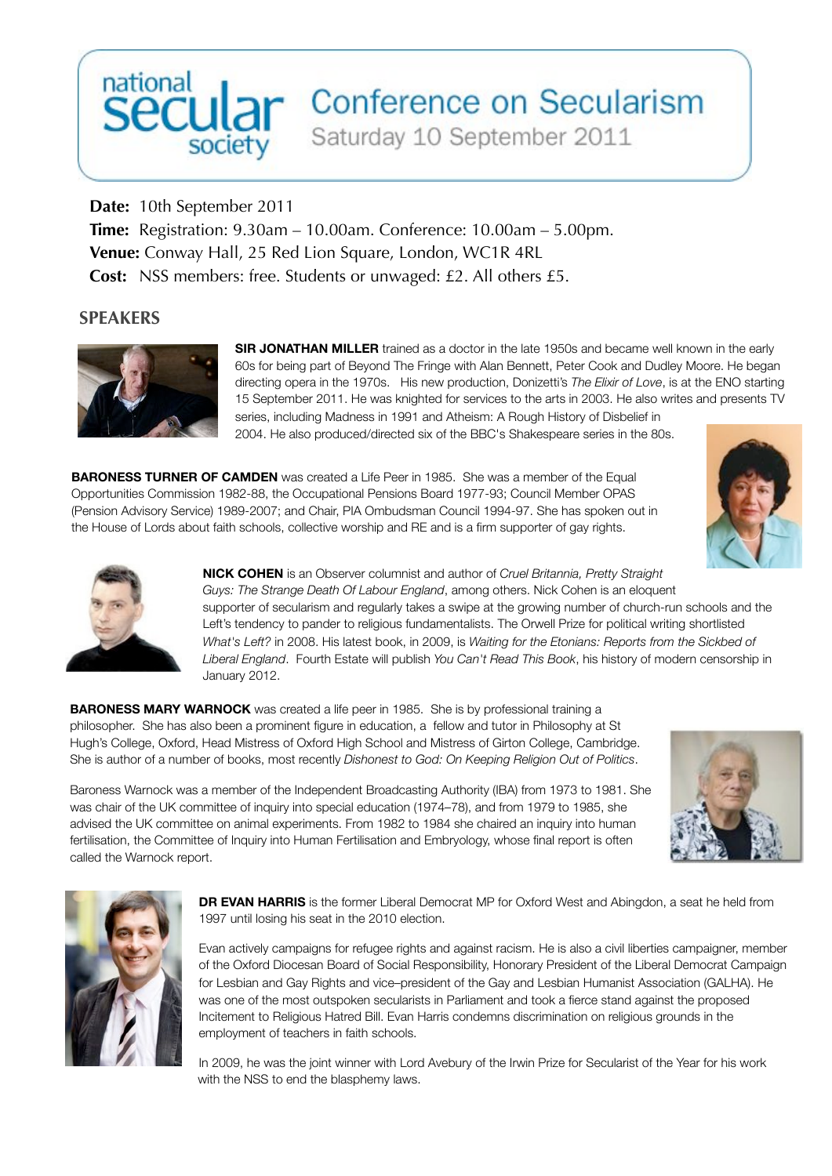## national<br>Secular Conference on Secularism

Saturday 10 September 2011

**Date:** 10th September 2011 **Time:** Registration: 9.30am – 10.00am. Conference: 10.00am – 5.00pm. **Venue:** Conway Hall, 25 Red Lion Square, London, WC1R 4RL **Cost:** NSS members: free. Students or unwaged: £2. All others £5.

## **SPEAKERS**



**SIR JONATHAN MILLER** trained as a doctor in the late 1950s and became well known in the early 60s for being part of Beyond The Fringe with Alan Bennett, Peter Cook and Dudley Moore. He began directing opera in the 1970s. His new production, Donizetti's *The Elixir of Love*, is at the ENO starting 15 September 2011. He was knighted for services to the arts in 2003. He also writes and presents TV series, including Madness in 1991 and Atheism: A Rough History of Disbelief in 2004. He also produced/directed six of the BBC's Shakespeare series in the 80s.

**BARONESS TURNER OF CAMDEN** was created a Life Peer in 1985. She was a member of the Equal Opportunities Commission 1982-88, the Occupational Pensions Board 1977-93; Council Member OPAS (Pension Advisory Service) 1989-2007; and Chair, PIA Ombudsman Council 1994-97. She has spoken out in the House of Lords about faith schools, collective worship and RE and is a firm supporter of gay rights.





**NICK COHEN** is an Observer columnist and author of *Cruel Britannia, Pretty Straight Guys: The Strange Death Of Labour England*, among others. Nick Cohen is an eloquent supporter of secularism and regularly takes a swipe at the growing number of church-run schools and the Left's tendency to pander to religious fundamentalists. The Orwell Prize for political writing shortlisted *What's Left?* in 2008. His latest book, in 2009, is *Waiting for the Etonians: Reports from the Sickbed of Liberal England*. Fourth Estate will publish *You Can't Read This Book*, his history of modern censorship in January 2012.

**BARONESS MARY WARNOCK** was created a life peer in 1985. She is by professional training a philosopher. She has also been a prominent figure in education, a fellow and tutor in Philosophy at St Hugh's College, Oxford, Head Mistress of Oxford High School and Mistress of Girton College, Cambridge. She is author of a number of books, most recently *Dishonest to God: On Keeping Religion Out of Politics*.

Baroness Warnock was a member of the Independent Broadcasting Authority (IBA) from 1973 to 1981. She was chair of the UK committee of inquiry into special education (1974–78), and from 1979 to 1985, she advised the UK committee on animal experiments. From 1982 to 1984 she chaired an inquiry into human fertilisation, the Committee of Inquiry into Human Fertilisation and Embryology, whose final report is often called the Warnock report.





**DR EVAN HARRIS** is the former Liberal Democrat MP for Oxford West and Abingdon, a seat he held from 1997 until losing his seat in the 2010 election.

Evan actively campaigns for refugee rights and against racism. He is also a civil liberties campaigner, member of the Oxford Diocesan Board of Social Responsibility, Honorary President of the Liberal Democrat Campaign for Lesbian and Gay Rights and vice–president of the Gay and Lesbian Humanist Association (GALHA). He was one of the most outspoken secularists in Parliament and took a fierce stand against the proposed Incitement to Religious Hatred Bill. Evan Harris condemns discrimination on religious grounds in the employment of teachers in faith schools.

In 2009, he was the joint winner with Lord Avebury of the Irwin Prize for Secularist of the Year for his work with the NSS to end the blasphemy laws.